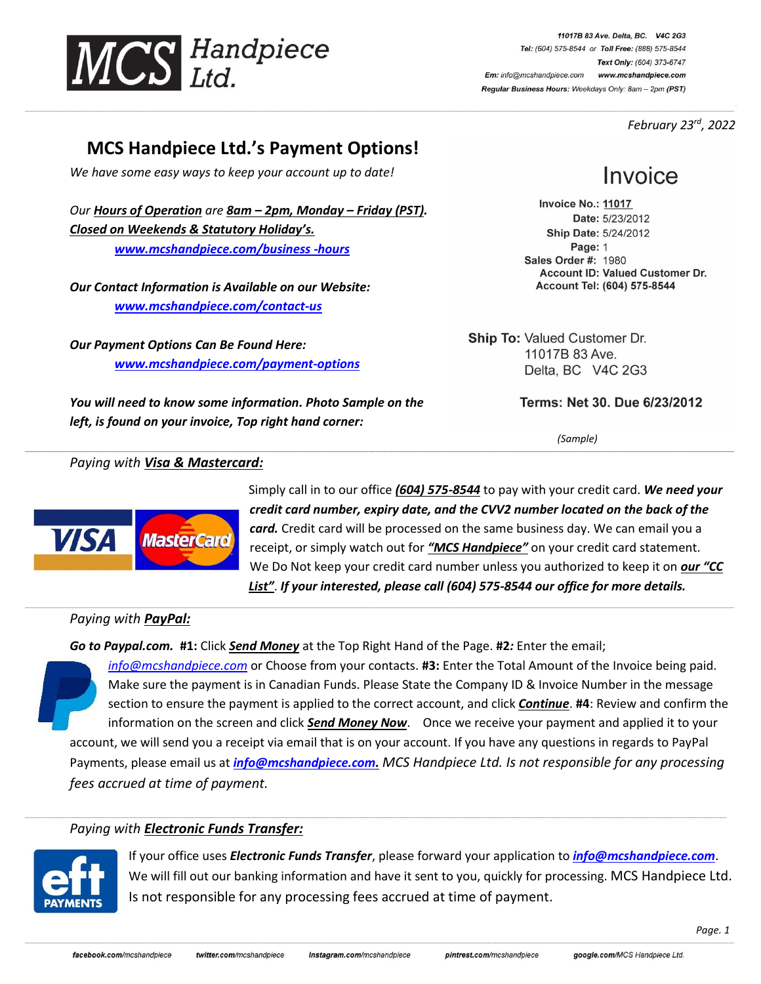

11017B 83 Ave. Delta, BC. V4C 2G3 Tel: (604) 575-8544 or Toll Free: (888) 575-8544 Text Only: (604) 373-6747 Em: info@mcshandpiece.com www.mcshandpiece.com Regular Business Hours: Weekdays Only: 8am - 2pm (PST)

 *February 23 rd , 2022*

## **MCS Handpiece Ltd.'s Payment Options!**

\_\_\_\_\_\_\_\_\_\_\_\_\_\_\_\_\_\_\_\_\_\_\_\_\_\_\_\_\_\_\_\_\_\_\_\_\_\_\_\_\_\_\_\_\_\_\_\_\_\_\_\_\_\_\_\_\_\_\_\_\_\_\_\_\_\_\_\_\_\_\_\_\_\_\_\_\_\_\_\_\_\_\_\_\_\_\_\_\_\_\_\_\_\_\_\_\_\_\_\_\_\_\_\_\_\_\_\_\_\_\_\_\_\_\_\_\_\_\_\_\_\_\_\_\_\_\_\_\_\_\_\_\_\_\_\_\_\_\_\_\_\_\_\_\_\_\_\_\_\_\_\_\_\_\_\_\_\_\_\_\_\_\_\_\_\_\_\_\_\_\_\_\_\_\_\_\_\_\_\_\_\_\_\_\_\_\_\_\_\_\_\_\_\_\_\_\_\_\_\_\_\_\_\_\_\_\_\_\_\_\_\_\_\_\_\_\_\_\_\_\_\_\_\_\_\_\_\_\_\_\_\_\_\_\_\_\_\_\_\_\_\_\_\_\_\_\_\_\_\_\_\_\_\_\_\_\_\_\_\_\_\_\_\_\_\_\_\_\_\_\_\_\_\_\_\_\_\_\_\_\_\_\_\_\_\_\_\_\_\_\_\_\_\_\_\_\_\_\_\_\_\_\_\_\_\_\_\_\_\_\_\_\_\_\_\_\_\_\_\_\_\_\_\_\_\_\_\_\_\_\_\_\_\_\_\_\_\_\_\_\_\_\_\_\_\_\_\_\_\_\_\_\_\_\_\_\_\_\_\_\_\_\_\_\_\_\_\_\_\_\_\_\_\_\_\_\_\_\_\_\_\_

**\_\_\_\_\_\_\_\_\_\_\_\_\_\_\_\_\_\_\_\_\_\_\_\_\_\_\_\_\_\_\_\_\_\_\_\_\_\_\_\_\_\_\_\_\_\_\_\_\_\_\_\_\_\_\_\_\_\_\_\_\_\_\_\_\_\_\_\_\_\_\_\_\_\_\_\_\_\_\_\_\_\_\_\_\_\_\_\_\_\_\_\_\_\_\_\_\_\_\_\_\_\_\_\_\_\_\_\_\_\_\_\_\_\_\_\_\_\_\_\_\_\_\_\_\_\_\_\_\_\_\_\_\_\_\_\_\_\_\_\_\_\_\_\_\_\_\_\_\_\_\_\_\_\_\_\_\_\_\_\_\_\_\_\_\_\_\_\_\_\_\_\_\_\_\_\_\_\_\_\_\_\_\_\_\_\_\_\_\_\_\_\_\_\_\_\_\_\_\_\_\_\_\_\_\_\_\_\_\_\_\_\_\_\_\_\_\_\_\_\_\_\_\_\_\_\_\_\_\_\_\_\_\_\_\_\_\_\_\_\_\_\_\_\_\_\_\_\_\_\_\_\_\_\_\_\_\_\_\_\_\_\_\_\_\_\_\_\_\_\_\_\_\_\_\_\_\_\_\_\_\_\_\_\_\_\_\_\_\_\_\_\_\_\_\_\_\_\_\_\_\_\_\_\_\_\_\_\_\_\_\_\_\_\_\_\_\_\_\_\_\_\_\_\_\_\_\_\_\_\_\_\_\_\_\_\_\_\_\_\_\_\_\_\_\_\_\_\_\_\_\_\_\_\_\_\_\_\_\_\_\_\_\_\_\_\_\_\_\_\_\_\_\_\_\_\_\_\_\_\_\_\_**

\_\_\_\_\_\_\_\_\_\_\_\_\_\_\_\_\_\_\_\_\_\_\_\_\_\_\_\_\_\_\_\_\_\_\_\_\_\_\_\_\_\_\_\_\_\_\_\_\_\_\_\_\_\_\_\_\_\_\_\_\_\_\_\_\_\_\_\_\_\_\_\_\_\_\_\_\_\_\_\_\_\_\_\_\_\_\_\_\_\_\_\_\_\_\_\_\_\_\_\_\_\_\_\_\_\_\_\_\_\_\_\_\_\_\_\_\_\_\_\_\_\_\_\_\_\_\_\_\_\_\_\_\_\_\_\_\_\_\_\_\_\_\_\_\_\_\_\_\_\_\_\_\_\_\_\_\_\_\_\_\_\_\_\_\_\_\_\_\_\_\_\_\_\_\_\_\_\_\_\_\_\_\_\_\_\_\_\_\_\_\_\_\_\_\_\_\_\_\_\_\_\_\_\_\_\_\_\_\_\_\_\_\_\_\_\_\_\_\_\_\_\_\_\_\_\_\_\_\_\_\_\_\_\_\_\_\_\_\_\_\_\_\_\_\_\_\_\_\_\_\_\_\_\_\_\_\_\_\_\_\_\_\_\_\_\_\_\_\_\_\_\_\_\_\_\_\_\_\_\_\_\_\_\_\_\_\_\_\_\_\_\_\_\_\_\_\_\_\_\_\_\_\_\_\_\_\_\_\_\_\_\_\_\_\_\_\_\_\_\_\_\_\_\_\_\_\_\_\_\_\_\_\_\_\_\_\_\_\_\_\_\_\_\_\_\_\_\_\_\_\_\_\_\_\_\_\_\_\_\_\_\_\_\_\_\_\_\_\_\_\_\_\_\_\_\_\_\_\_\_\_\_

\_\_\_\_\_\_\_\_\_\_\_\_\_\_\_\_\_\_\_\_\_\_\_\_\_\_\_\_\_\_\_\_\_\_\_\_\_\_\_\_\_\_\_\_\_\_\_\_\_\_\_\_\_\_\_\_\_\_\_\_\_\_\_\_\_\_\_\_\_\_\_\_\_\_\_\_\_\_\_\_\_\_\_\_\_\_\_\_\_\_\_\_\_\_\_\_\_\_\_\_\_\_\_\_\_\_\_\_\_\_\_\_\_\_\_\_\_\_\_\_\_\_\_\_\_\_\_\_\_\_\_\_\_\_\_\_\_\_\_\_\_\_\_\_\_\_\_\_\_\_\_\_\_\_\_\_\_\_\_\_\_\_\_\_\_\_\_\_\_\_\_\_\_\_\_\_\_\_\_\_\_\_\_\_\_\_\_\_\_\_\_\_\_\_\_\_\_\_\_\_\_\_\_\_\_\_\_\_\_\_\_\_\_\_\_\_\_\_\_\_\_\_\_\_\_\_\_\_\_\_\_\_\_\_\_\_\_\_\_\_\_\_\_\_\_\_\_\_\_\_\_\_\_\_\_\_\_\_\_\_\_\_\_\_\_\_\_\_\_\_\_\_\_\_\_\_\_\_\_\_\_\_\_\_\_\_\_\_\_\_\_\_\_\_\_\_\_\_\_\_\_\_\_\_\_\_\_\_\_\_\_\_\_\_\_\_\_\_\_\_\_\_\_\_\_\_\_\_\_\_\_\_\_\_\_\_\_\_\_\_\_\_\_\_\_\_\_\_\_\_\_\_\_\_\_\_\_\_\_\_\_\_\_\_\_\_\_\_\_\_\_\_\_\_\_\_\_\_

*We have some easy ways to keep your account up to date!*

*Our Hours of Operation are 8am - 2pm, Monday - Friday (PST). Closed on Weekends & Statutory Holiday's. [www.mcshandpiece.com/b](http://www.mcshandpiece.com/contact-us)usiness -hours*

*Our Contact Information is Available on our Website: [www.mcshandpiece.com/contact-us](http://www.mcshandpiece.com/contact-us)*

*Our Payment Options Can Be Found Here: [www.mcshandpiece.com/payment-options](http://www.mcshandpiece.com/payment-options)*

*You will need to know some information. Photo Sample on the left, is found on your invoice, Top right hand corner:*

# Invoice

Invoice No.: 11017 Date: 5/23/2012 Ship Date: 5/24/2012 Page: 1 Sales Order #: 1980 Account ID: Valued Customer Dr. Account Tel: (604) 575-8544

**Ship To: Valued Customer Dr.** 11017B 83 Ave. Delta, BC V4C 2G3

Terms: Net 30. Due 6/23/2012

*(Sample)*

#### *Paying with Visa & Mastercard:*



Simply call in to our office *(604) 575-8544* to pay with your credit card. *We need your credit card number, expiry date, and the CVV2 number located on the back of the card.* Credit card will be processed on the same business day. We can email you a receipt, or simply watch out for *"MCS Handpiece"* on your credit card statement. We Do Not keep your credit card number unless you authorized to keep it on *our "CC List"*. *If your interested, please call (604) 575-8544 our office for more details.*

#### *Paying with PayPal:*

*Go to Paypal.com.* **#1:** Click *Send Money* at the Top Right Hand of the Page. **#2***:* Enter the email;

*[info@mcshandpiece.com](mailto:info@mcshandpiece.com)* or Choose from your contacts. **#3:** Enter the Total Amount of the Invoice being paid. Make sure the payment is in Canadian Funds. Please State the Company ID & Invoice Number in the message section to ensure the payment is applied to the correct account, and click *Continue*. **#4**: Review and confirm the information on the screen and click *Send Money Now*. Once we receive your payment and applied it to your account, we will send you a receipt via email that is on your account. If you have any questions in regards to PayPal Payments, please email us at *[info@mcshandpiece.com.](mailto:info@mcshandpiece.com) MCS Handpiece Ltd. Is not responsible for any processing fees accrued at time of payment.*

#### *Paying with Electronic Funds Transfer:*



If your office uses *Electronic Funds Transfer*, please forward your application to *[info@mcshandpiece.com](mailto:info@mcshandpiece.com)*. We will fill out our banking information and have it sent to you, quickly for processing. MCS Handpiece Ltd. Is not responsible for any processing fees accrued at time of payment.